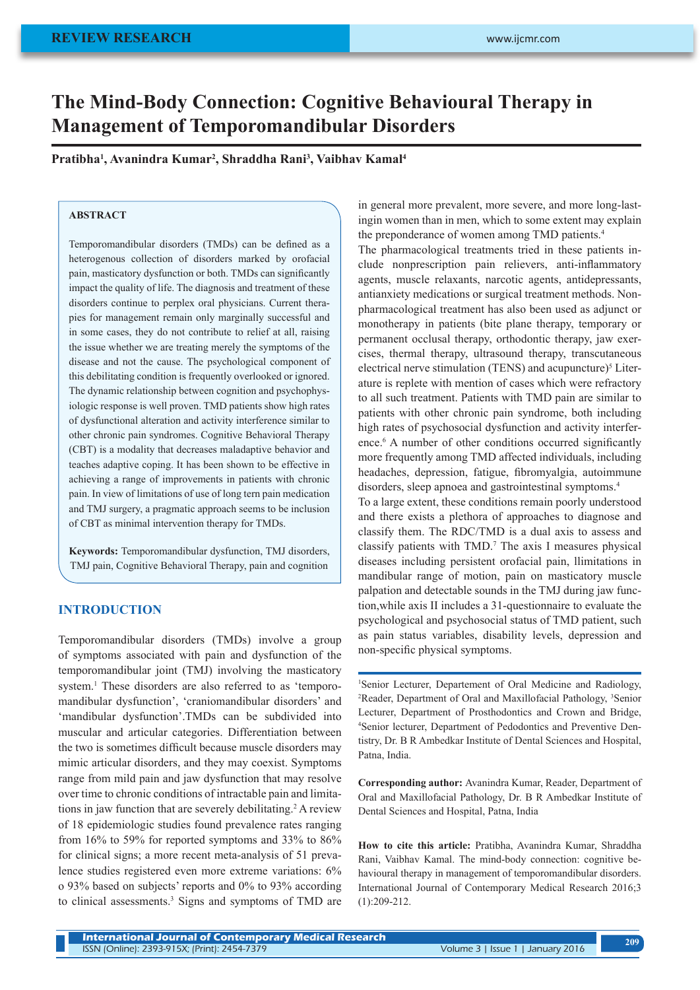# **The Mind-Body Connection: Cognitive Behavioural Therapy in Management of Temporomandibular Disorders**

**Pratibha1 , Avanindra Kumar2 , Shraddha Rani3 , Vaibhav Kamal4**

# **ABSTRACT**

Temporomandibular disorders (TMDs) can be defined as a heterogenous collection of disorders marked by orofacial pain, masticatory dysfunction or both. TMDs can significantly impact the quality of life. The diagnosis and treatment of these disorders continue to perplex oral physicians. Current therapies for management remain only marginally successful and in some cases, they do not contribute to relief at all, raising the issue whether we are treating merely the symptoms of the disease and not the cause. The psychological component of this debilitating condition is frequently overlooked or ignored. The dynamic relationship between cognition and psychophysiologic response is well proven. TMD patients show high rates of dysfunctional alteration and activity interference similar to other chronic pain syndromes. Cognitive Behavioral Therapy (CBT) is a modality that decreases maladaptive behavior and teaches adaptive coping. It has been shown to be effective in achieving a range of improvements in patients with chronic pain. In view of limitations of use of long tern pain medication and TMJ surgery, a pragmatic approach seems to be inclusion of CBT as minimal intervention therapy for TMDs.

**Keywords:** Temporomandibular dysfunction, TMJ disorders, TMJ pain, Cognitive Behavioral Therapy, pain and cognition

# **INTRODUCTION**

Temporomandibular disorders (TMDs) involve a group of symptoms associated with pain and dysfunction of the temporomandibular joint (TMJ) involving the masticatory system.<sup>1</sup> These disorders are also referred to as 'temporomandibular dysfunction', 'craniomandibular disorders' and 'mandibular dysfunction'.TMDs can be subdivided into muscular and articular categories. Differentiation between the two is sometimes difficult because muscle disorders may mimic articular disorders, and they may coexist. Symptoms range from mild pain and jaw dysfunction that may resolve over time to chronic conditions of intractable pain and limitations in jaw function that are severely debilitating.<sup>2</sup> A review of 18 epidemiologic studies found prevalence rates ranging from 16% to 59% for reported symptoms and 33% to 86% for clinical signs; a more recent meta-analysis of 51 prevalence studies registered even more extreme variations: 6% o 93% based on subjects' reports and 0% to 93% according to clinical assessments.3 Signs and symptoms of TMD are in general more prevalent, more severe, and more long-lastingin women than in men, which to some extent may explain the preponderance of women among TMD patients.<sup>4</sup>

The pharmacological treatments tried in these patients include nonprescription pain relievers, anti-inflammatory agents, muscle relaxants, narcotic agents, antidepressants, antianxiety medications or surgical treatment methods. Nonpharmacological treatment has also been used as adjunct or monotherapy in patients (bite plane therapy, temporary or permanent occlusal therapy, orthodontic therapy, jaw exercises, thermal therapy, ultrasound therapy, transcutaneous electrical nerve stimulation (TENS) and acupuncture)<sup>5</sup> Literature is replete with mention of cases which were refractory to all such treatment. Patients with TMD pain are similar to patients with other chronic pain syndrome, both including high rates of psychosocial dysfunction and activity interference.<sup>6</sup> A number of other conditions occurred significantly more frequently among TMD affected individuals, including headaches, depression, fatigue, fibromyalgia, autoimmune disorders, sleep apnoea and gastrointestinal symptoms.<sup>4</sup>

To a large extent, these conditions remain poorly understood and there exists a plethora of approaches to diagnose and classify them. The RDC/TMD is a dual axis to assess and classify patients with TMD.<sup>7</sup> The axis I measures physical diseases including persistent orofacial pain, llimitations in mandibular range of motion, pain on masticatory muscle palpation and detectable sounds in the TMJ during jaw function,while axis II includes a 31-questionnaire to evaluate the psychological and psychosocial status of TMD patient, such as pain status variables, disability levels, depression and non-specific physical symptoms.

1 Senior Lecturer, Departement of Oral Medicine and Radiology, <sup>2</sup>Reader, Department of Oral and Maxillofacial Pathology, <sup>3</sup>Senior Lecturer, Department of Prosthodontics and Crown and Bridge, 4 Senior lecturer, Department of Pedodontics and Preventive Dentistry, Dr. B R Ambedkar Institute of Dental Sciences and Hospital, Patna, India.

**Corresponding author:** Avanindra Kumar, Reader, Department of Oral and Maxillofacial Pathology, Dr. B R Ambedkar Institute of Dental Sciences and Hospital, Patna, India

**How to cite this article:** Pratibha, Avanindra Kumar, Shraddha Rani, Vaibhav Kamal. The mind-body connection: cognitive behavioural therapy in management of temporomandibular disorders. International Journal of Contemporary Medical Research 2016;3 (1):209-212.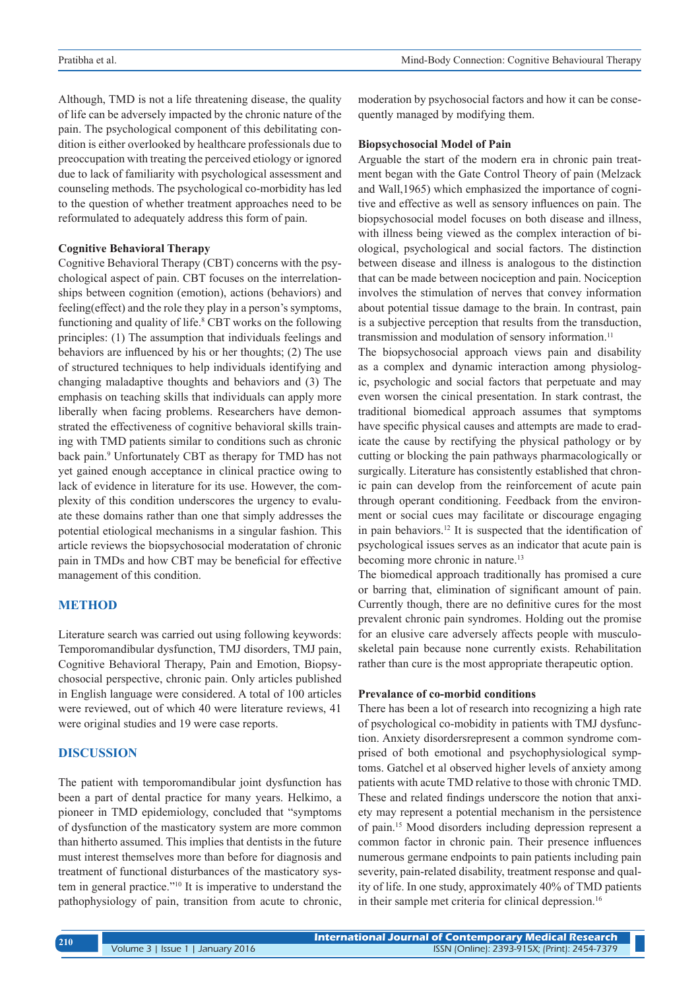Although, TMD is not a life threatening disease, the quality of life can be adversely impacted by the chronic nature of the pain. The psychological component of this debilitating condition is either overlooked by healthcare professionals due to preoccupation with treating the perceived etiology or ignored due to lack of familiarity with psychological assessment and counseling methods. The psychological co-morbidity has led to the question of whether treatment approaches need to be reformulated to adequately address this form of pain.

### **Cognitive Behavioral Therapy**

Cognitive Behavioral Therapy (CBT) concerns with the psychological aspect of pain. CBT focuses on the interrelationships between cognition (emotion), actions (behaviors) and feeling(effect) and the role they play in a person's symptoms, functioning and quality of life.<sup>8</sup> CBT works on the following principles: (1) The assumption that individuals feelings and behaviors are influenced by his or her thoughts; (2) The use of structured techniques to help individuals identifying and changing maladaptive thoughts and behaviors and (3) The emphasis on teaching skills that individuals can apply more liberally when facing problems. Researchers have demonstrated the effectiveness of cognitive behavioral skills training with TMD patients similar to conditions such as chronic back pain.<sup>9</sup> Unfortunately CBT as therapy for TMD has not yet gained enough acceptance in clinical practice owing to lack of evidence in literature for its use. However, the complexity of this condition underscores the urgency to evaluate these domains rather than one that simply addresses the potential etiological mechanisms in a singular fashion. This article reviews the biopsychosocial moderatation of chronic pain in TMDs and how CBT may be beneficial for effective management of this condition.

# **METHOD**

Literature search was carried out using following keywords: Temporomandibular dysfunction, TMJ disorders, TMJ pain, Cognitive Behavioral Therapy, Pain and Emotion, Biopsychosocial perspective, chronic pain. Only articles published in English language were considered. A total of 100 articles were reviewed, out of which 40 were literature reviews, 41 were original studies and 19 were case reports.

# **DISCUSSION**

The patient with temporomandibular joint dysfunction has been a part of dental practice for many years. Helkimo, a pioneer in TMD epidemiology, concluded that "symptoms of dysfunction of the masticatory system are more common than hitherto assumed. This implies that dentists in the future must interest themselves more than before for diagnosis and treatment of functional disturbances of the masticatory system in general practice."10 It is imperative to understand the pathophysiology of pain, transition from acute to chronic,

moderation by psychosocial factors and how it can be consequently managed by modifying them.

### **Biopsychosocial Model of Pain**

Arguable the start of the modern era in chronic pain treatment began with the Gate Control Theory of pain (Melzack and Wall,1965) which emphasized the importance of cognitive and effective as well as sensory influences on pain. The biopsychosocial model focuses on both disease and illness, with illness being viewed as the complex interaction of biological, psychological and social factors. The distinction between disease and illness is analogous to the distinction that can be made between nociception and pain. Nociception involves the stimulation of nerves that convey information about potential tissue damage to the brain. In contrast, pain is a subjective perception that results from the transduction, transmission and modulation of sensory information.<sup>11</sup>

The biopsychosocial approach views pain and disability as a complex and dynamic interaction among physiologic, psychologic and social factors that perpetuate and may even worsen the cinical presentation. In stark contrast, the traditional biomedical approach assumes that symptoms have specific physical causes and attempts are made to eradicate the cause by rectifying the physical pathology or by cutting or blocking the pain pathways pharmacologically or surgically. Literature has consistently established that chronic pain can develop from the reinforcement of acute pain through operant conditioning. Feedback from the environment or social cues may facilitate or discourage engaging in pain behaviors.12 It is suspected that the identification of psychological issues serves as an indicator that acute pain is becoming more chronic in nature.<sup>13</sup>

The biomedical approach traditionally has promised a cure or barring that, elimination of significant amount of pain. Currently though, there are no definitive cures for the most prevalent chronic pain syndromes. Holding out the promise for an elusive care adversely affects people with musculoskeletal pain because none currently exists. Rehabilitation rather than cure is the most appropriate therapeutic option.

### **Prevalance of co-morbid conditions**

There has been a lot of research into recognizing a high rate of psychological co-mobidity in patients with TMJ dysfunction. Anxiety disordersrepresent a common syndrome comprised of both emotional and psychophysiological symptoms. Gatchel et al observed higher levels of anxiety among patients with acute TMD relative to those with chronic TMD. These and related findings underscore the notion that anxiety may represent a potential mechanism in the persistence of pain.15 Mood disorders including depression represent a common factor in chronic pain. Their presence influences numerous germane endpoints to pain patients including pain severity, pain-related disability, treatment response and quality of life. In one study, approximately 40% of TMD patients in their sample met criteria for clinical depression.<sup>16</sup>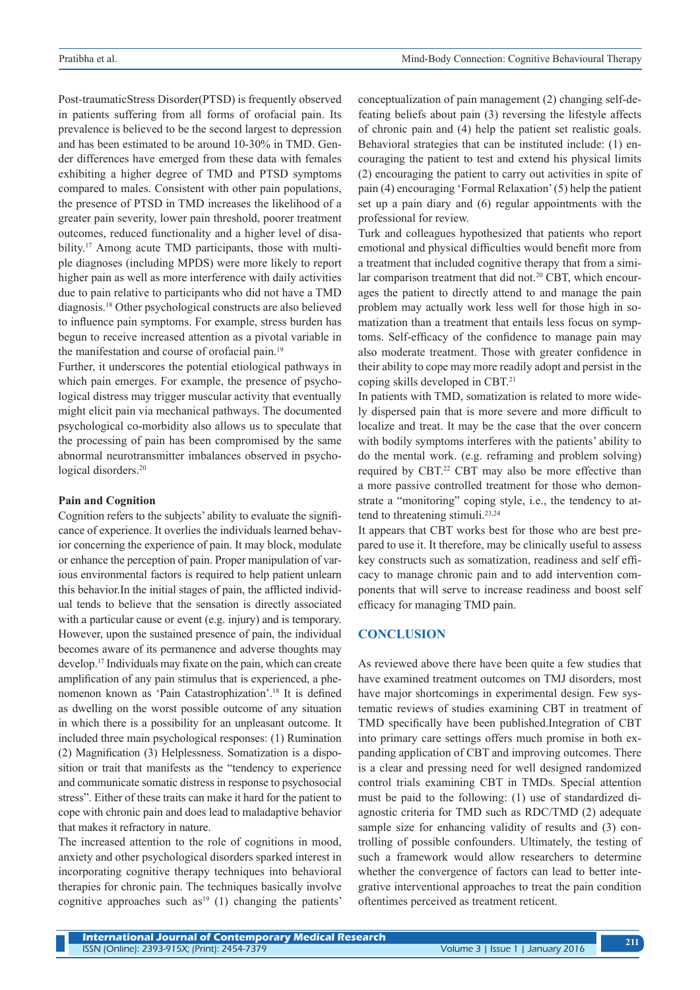Post-traumaticStress Disorder(PTSD) is frequently observed in patients suffering from all forms of orofacial pain. Its prevalence is believed to be the second largest to depression and has been estimated to be around 10-30% in TMD. Gender differences have emerged from these data with females exhibiting a higher degree of TMD and PTSD symptoms compared to males. Consistent with other pain populations, the presence of PTSD in TMD increases the likelihood of a greater pain severity, lower pain threshold, poorer treatment outcomes, reduced functionality and a higher level of disability.<sup>17</sup> Among acute TMD participants, those with multiple diagnoses (including MPDS) were more likely to report higher pain as well as more interference with daily activities due to pain relative to participants who did not have a TMD diagnosis.18 Other psychological constructs are also believed to influence pain symptoms. For example, stress burden has begun to receive increased attention as a pivotal variable in the manifestation and course of orofacial pain.<sup>19</sup>

Further, it underscores the potential etiological pathways in which pain emerges. For example, the presence of psychological distress may trigger muscular activity that eventually might elicit pain via mechanical pathways. The documented psychological co-morbidity also allows us to speculate that the processing of pain has been compromised by the same abnormal neurotransmitter imbalances observed in psychological disorders.<sup>20</sup>

#### **Pain and Cognition**

Cognition refers to the subjects' ability to evaluate the significance of experience. It overlies the individuals learned behavior concerning the experience of pain. It may block, modulate or enhance the perception of pain. Proper manipulation of various environmental factors is required to help patient unlearn this behavior.In the initial stages of pain, the afflicted individual tends to believe that the sensation is directly associated with a particular cause or event (e.g. injury) and is temporary. However, upon the sustained presence of pain, the individual becomes aware of its permanence and adverse thoughts may develop.17 Individuals may fixate on the pain, which can create amplification of any pain stimulus that is experienced, a phenomenon known as 'Pain Catastrophization'.18 It is defined as dwelling on the worst possible outcome of any situation in which there is a possibility for an unpleasant outcome. It included three main psychological responses: (1) Rumination (2) Magnification (3) Helplessness. Somatization is a disposition or trait that manifests as the "tendency to experience and communicate somatic distress in response to psychosocial stress". Either of these traits can make it hard for the patient to cope with chronic pain and does lead to maladaptive behavior that makes it refractory in nature.

The increased attention to the role of cognitions in mood, anxiety and other psychological disorders sparked interest in incorporating cognitive therapy techniques into behavioral therapies for chronic pain. The techniques basically involve cognitive approaches such as<sup>19</sup> (1) changing the patients'

conceptualization of pain management (2) changing self-defeating beliefs about pain (3) reversing the lifestyle affects of chronic pain and (4) help the patient set realistic goals. Behavioral strategies that can be instituted include: (1) encouraging the patient to test and extend his physical limits (2) encouraging the patient to carry out activities in spite of pain (4) encouraging 'Formal Relaxation' (5) help the patient set up a pain diary and (6) regular appointments with the professional for review.

Turk and colleagues hypothesized that patients who report emotional and physical difficulties would benefit more from a treatment that included cognitive therapy that from a similar comparison treatment that did not.<sup>20</sup> CBT, which encourages the patient to directly attend to and manage the pain problem may actually work less well for those high in somatization than a treatment that entails less focus on symptoms. Self-efficacy of the confidence to manage pain may also moderate treatment. Those with greater confidence in their ability to cope may more readily adopt and persist in the coping skills developed in CBT.21

In patients with TMD, somatization is related to more widely dispersed pain that is more severe and more difficult to localize and treat. It may be the case that the over concern with bodily symptoms interferes with the patients' ability to do the mental work. (e.g. reframing and problem solving) required by CBT.<sup>22</sup> CBT may also be more effective than a more passive controlled treatment for those who demonstrate a "monitoring" coping style, i.e., the tendency to attend to threatening stimuli.<sup>23,24</sup>

It appears that CBT works best for those who are best prepared to use it. It therefore, may be clinically useful to assess key constructs such as somatization, readiness and self efficacy to manage chronic pain and to add intervention components that will serve to increase readiness and boost self efficacy for managing TMD pain.

### **CONCLUSION**

As reviewed above there have been quite a few studies that have examined treatment outcomes on TMJ disorders, most have major shortcomings in experimental design. Few systematic reviews of studies examining CBT in treatment of TMD specifically have been published.Integration of CBT into primary care settings offers much promise in both expanding application of CBT and improving outcomes. There is a clear and pressing need for well designed randomized control trials examining CBT in TMDs. Special attention must be paid to the following: (1) use of standardized diagnostic criteria for TMD such as RDC/TMD (2) adequate sample size for enhancing validity of results and (3) controlling of possible confounders. Ultimately, the testing of such a framework would allow researchers to determine whether the convergence of factors can lead to better integrative interventional approaches to treat the pain condition oftentimes perceived as treatment reticent.